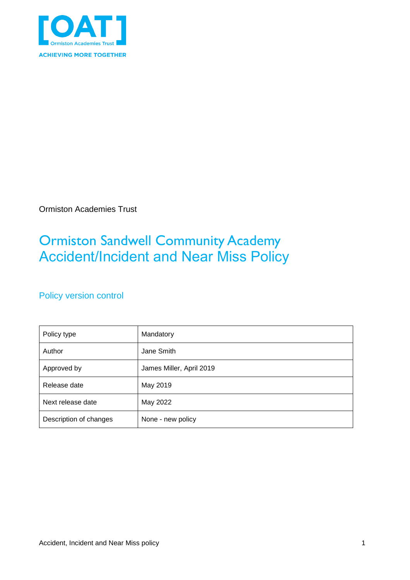

Ormiston Academies Trust

## Ormiston Sandwell Community Academy Accident/Incident and Near Miss Policy

### Policy version control

| Policy type            | Mandatory                |
|------------------------|--------------------------|
| Author                 | Jane Smith               |
| Approved by            | James Miller, April 2019 |
| Release date           | May 2019                 |
| Next release date      | May 2022                 |
| Description of changes | None - new policy        |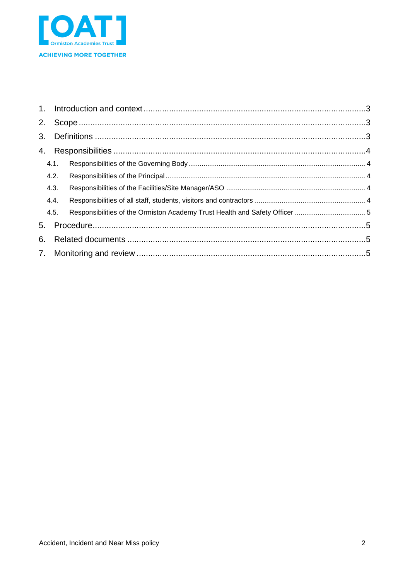

| 2. |      |  |  |  |
|----|------|--|--|--|
|    |      |  |  |  |
|    |      |  |  |  |
|    | 4.1. |  |  |  |
|    | 4.2. |  |  |  |
|    | 4.3. |  |  |  |
|    | 4.4. |  |  |  |
|    | 4.5. |  |  |  |
| 5. |      |  |  |  |
| 6. |      |  |  |  |
|    |      |  |  |  |
|    |      |  |  |  |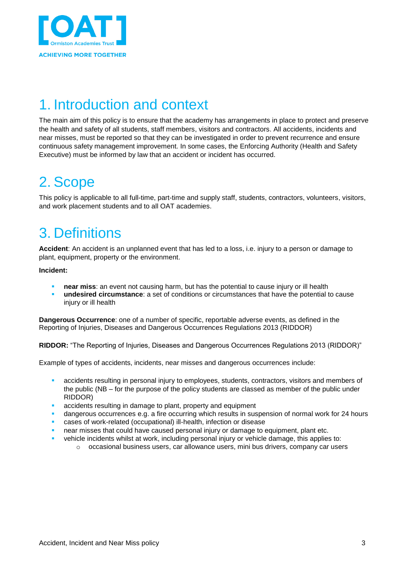

# <span id="page-2-0"></span>1. Introduction and context

The main aim of this policy is to ensure that the academy has arrangements in place to protect and preserve the health and safety of all students, staff members, visitors and contractors. All accidents, incidents and near misses, must be reported so that they can be investigated in order to prevent recurrence and ensure continuous safety management improvement. In some cases, the Enforcing Authority (Health and Safety Executive) must be informed by law that an accident or incident has occurred.

## <span id="page-2-1"></span>2. Scope

This policy is applicable to all full-time, part-time and supply staff, students, contractors, volunteers, visitors, and work placement students and to all OAT academies.

## <span id="page-2-2"></span>3. Definitions

Accident: An accident is an unplanned event that has led to a loss, i.e. injury to a person or damage to plant, equipment, property or the environment.

**Incident:**

- **near miss**: an event not causing harm, but has the potential to cause injury or ill health
- **undesired circumstance**: a set of conditions or circumstances that have the potential to cause injury or ill health

**Dangerous Occurrence**: one of a number of specific, reportable adverse events, as defined in the Reporting of Injuries, Diseases and Dangerous Occurrences Regulations 2013 (RIDDOR)

**RIDDOR:** "The Reporting of Injuries, Diseases and Dangerous Occurrences Regulations 2013 (RIDDOR)"

Example of types of accidents, incidents, near misses and dangerous occurrences include:

- accidents resulting in personal injury to employees, students, contractors, visitors and members of the public (NB – for the purpose of the policy students are classed as member of the public under RIDDOR)
- accidents resulting in damage to plant, property and equipment
- dangerous occurrences e.g. a fire occurring which results in suspension of normal work for 24 hours
- cases of work-related (occupational) ill-health, infection or disease
- near misses that could have caused personal injury or damage to equipment, plant etc.
- vehicle incidents whilst at work, including personal injury or vehicle damage, this applies to:
	- $\circ$  occasional business users, car allowance users, mini bus drivers, company car users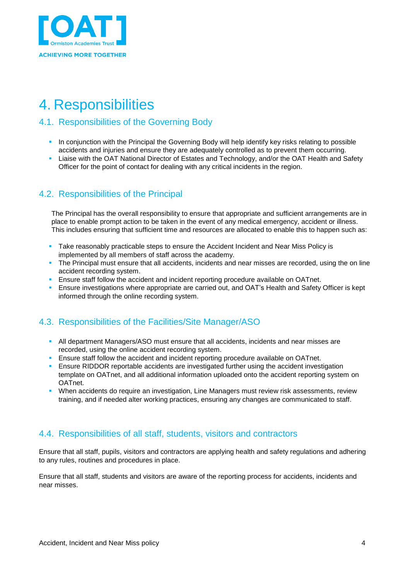

# <span id="page-3-0"></span>4. Responsibilities

#### <span id="page-3-1"></span>4.1. Responsibilities of the Governing Body

- **In conjunction with the Principal the Governing Body will help identify key risks relating to possible** accidents and injuries and ensure they are adequately controlled as to prevent them occurring.
- Liaise with the OAT National Director of Estates and Technology, and/or the OAT Health and Safety Officer for the point of contact for dealing with any critical incidents in the region.

#### <span id="page-3-2"></span>4.2. Responsibilities of the Principal

The Principal has the overall responsibility to ensure that appropriate and sufficient arrangements are in place to enable prompt action to be taken in the event of any medical emergency, accident or illness. This includes ensuring that sufficient time and resources are allocated to enable this to happen such as:

- Take reasonably practicable steps to ensure the Accident Incident and Near Miss Policy is implemented by all members of staff across the academy.
- The Principal must ensure that all accidents, incidents and near misses are recorded, using the on line accident recording system.
- Ensure staff follow the accident and incident reporting procedure available on OATnet.
- Ensure investigations where appropriate are carried out, and OAT's Health and Safety Officer is kept informed through the online recording system.

### <span id="page-3-3"></span>4.3. Responsibilities of the Facilities/Site Manager/ASO

- **All department Managers/ASO must ensure that all accidents, incidents and near misses are** recorded, using the online accident recording system.
- **Ensure staff follow the accident and incident reporting procedure available on OATnet.**
- **E** Ensure RIDDOR reportable accidents are investigated further using the accident investigation template on OATnet, and all additional information uploaded onto the accident reporting system on OATnet.
- When accidents do require an investigation, Line Managers must review risk assessments, review training, and if needed alter working practices, ensuring any changes are communicated to staff.

#### <span id="page-3-4"></span>4.4. Responsibilities of all staff, students, visitors and contractors

Ensure that all staff, pupils, visitors and contractors are applying health and safety regulations and adhering to any rules, routines and procedures in place.

Ensure that all staff, students and visitors are aware of the reporting process for accidents, incidents and near misses.